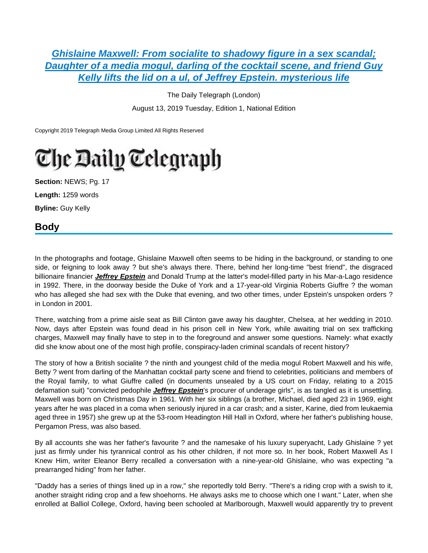## **[Ghislaine Maxwell: From socialite to shadowy figure in a sex scandal;](https://advance.lexis.com/api/document?collection=news&id=urn:contentItem:5WT6-1J11-JCBW-N1M3-00000-00&context=)  [Daughter of a media mogul, darling of the cocktail scene, and friend Guy](https://advance.lexis.com/api/document?collection=news&id=urn:contentItem:5WT6-1J11-JCBW-N1M3-00000-00&context=)  [Kelly lifts the lid on a ul, of Jeffrey Epstein. mysterious life](https://advance.lexis.com/api/document?collection=news&id=urn:contentItem:5WT6-1J11-JCBW-N1M3-00000-00&context=)**

The Daily Telegraph (London)

August 13, 2019 Tuesday, Edition 1, National Edition

Copyright 2019 Telegraph Media Group Limited All Rights Reserved

# **The Daily Telegraph**

**Section:** NEWS; Pg. 17 **Length:** 1259 words **Byline:** Guy Kelly

## **Body**

In the photographs and footage, Ghislaine Maxwell often seems to be hiding in the background, or standing to one side, or feigning to look away ? but she's always there. There, behind her long-time "best friend", the disgraced billionaire financier **Jeffrey Epstein** and Donald Trump at the latter's model-filled party in his Mar-a-Lago residence in 1992. There, in the doorway beside the Duke of York and a 17-year-old Virginia Roberts Giuffre ? the woman who has alleged she had sex with the Duke that evening, and two other times, under Epstein's unspoken orders ? in London in 2001.

There, watching from a prime aisle seat as Bill Clinton gave away his daughter, Chelsea, at her wedding in 2010. Now, days after Epstein was found dead in his prison cell in New York, while awaiting trial on sex trafficking charges, Maxwell may finally have to step in to the foreground and answer some questions. Namely: what exactly did she know about one of the most high profile, conspiracy-laden criminal scandals of recent history?

The story of how a British socialite ? the ninth and youngest child of the media mogul Robert Maxwell and his wife, Betty ? went from darling of the Manhattan cocktail party scene and friend to celebrities, politicians and members of the Royal family, to what Giuffre called (in documents unsealed by a US court on Friday, relating to a 2015 defamation suit) "convicted pedophile **Jeffrey Epstein**'s procurer of underage girls", is as tangled as it is unsettling. Maxwell was born on Christmas Day in 1961. With her six siblings (a brother, Michael, died aged 23 in 1969, eight years after he was placed in a coma when seriously injured in a car crash; and a sister, Karine, died from leukaemia aged three in 1957) she grew up at the 53-room Headington Hill Hall in Oxford, where her father's publishing house, Pergamon Press, was also based.

By all accounts she was her father's favourite ? and the namesake of his luxury superyacht, Lady Ghislaine ? yet just as firmly under his tyrannical control as his other children, if not more so. In her book, Robert Maxwell As I Knew Him, writer Eleanor Berry recalled a conversation with a nine-year-old Ghislaine, who was expecting "a prearranged hiding" from her father.

"Daddy has a series of things lined up in a row," she reportedly told Berry. "There's a riding crop with a swish to it, another straight riding crop and a few shoehorns. He always asks me to choose which one I want." Later, when she enrolled at Balliol College, Oxford, having been schooled at Marlborough, Maxwell would apparently try to prevent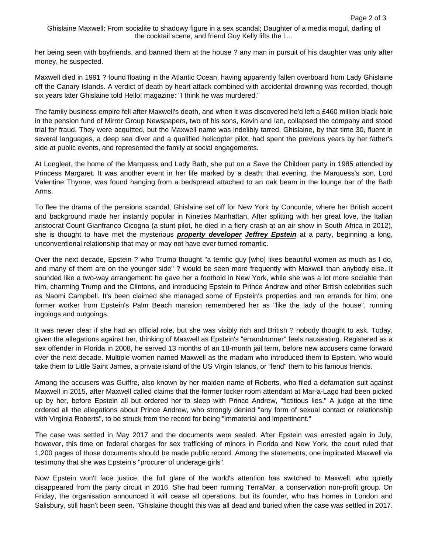Ghislaine Maxwell: From socialite to shadowy figure in a sex scandal; Daughter of a media mogul, darling of the cocktail scene, and friend Guy Kelly lifts the l....

her being seen with boyfriends, and banned them at the house ? any man in pursuit of his daughter was only after money, he suspected.

Maxwell died in 1991 ? found floating in the Atlantic Ocean, having apparently fallen overboard from Lady Ghislaine off the Canary Islands. A verdict of death by heart attack combined with accidental drowning was recorded, though six years later Ghislaine told Hello! magazine: "I think he was murdered."

The family business empire fell after Maxwell's death, and when it was discovered he'd left a £460 million black hole in the pension fund of Mirror Group Newspapers, two of his sons, Kevin and Ian, collapsed the company and stood trial for fraud. They were acquitted, but the Maxwell name was indelibly tarred. Ghislaine, by that time 30, fluent in several languages, a deep sea diver and a qualified helicopter pilot, had spent the previous years by her father's side at public events, and represented the family at social engagements.

At Longleat, the home of the Marquess and Lady Bath, she put on a Save the Children party in 1985 attended by Princess Margaret. It was another event in her life marked by a death: that evening, the Marquess's son, Lord Valentine Thynne, was found hanging from a bedspread attached to an oak beam in the lounge bar of the Bath Arms.

To flee the drama of the pensions scandal, Ghislaine set off for New York by Concorde, where her British accent and background made her instantly popular in Nineties Manhattan. After splitting with her great love, the Italian aristocrat Count Gianfranco Cicogna (a stunt pilot, he died in a fiery crash at an air show in South Africa in 2012), she is thought to have met the mysterious **property developer Jeffrey Epstein** at a party, beginning a long, unconventional relationship that may or may not have ever turned romantic.

Over the next decade, Epstein ? who Trump thought "a terrific guy [who] likes beautiful women as much as I do, and many of them are on the younger side" ? would be seen more frequently with Maxwell than anybody else. It sounded like a two-way arrangement: he gave her a foothold in New York, while she was a lot more sociable than him, charming Trump and the Clintons, and introducing Epstein to Prince Andrew and other British celebrities such as Naomi Campbell. It's been claimed she managed some of Epstein's properties and ran errands for him; one former worker from Epstein's Palm Beach mansion remembered her as "like the lady of the house", running ingoings and outgoings.

It was never clear if she had an official role, but she was visibly rich and British ? nobody thought to ask. Today, given the allegations against her, thinking of Maxwell as Epstein's "errandrunner'' feels nauseating. Registered as a sex offender in Florida in 2008, he served 13 months of an 18-month jail term, before new accusers came forward over the next decade. Multiple women named Maxwell as the madam who introduced them to Epstein, who would take them to Little Saint James, a private island of the US Virgin Islands, or "lend" them to his famous friends.

Among the accusers was Guiffre, also known by her maiden name of Roberts, who filed a defamation suit against Maxwell in 2015, after Maxwell called claims that the former locker room attendant at Mar-a-Lago had been picked up by her, before Epstein all but ordered her to sleep with Prince Andrew, "fictitious lies." A judge at the time ordered all the allegations about Prince Andrew, who strongly denied "any form of sexual contact or relationship with Virginia Roberts", to be struck from the record for being "immaterial and impertinent."

The case was settled in May 2017 and the documents were sealed. After Epstein was arrested again in July, however, this time on federal charges for sex trafficking of minors in Florida and New York, the court ruled that 1,200 pages of those documents should be made public record. Among the statements, one implicated Maxwell via testimony that she was Epstein's "procurer of underage girls".

Now Epstein won't face justice, the full glare of the world's attention has switched to Maxwell, who quietly disappeared from the party circuit in 2016. She had been running TerraMar, a conservation non-profit group. On Friday, the organisation announced it will cease all operations, but its founder, who has homes in London and Salisbury, still hasn't been seen. "Ghislaine thought this was all dead and buried when the case was settled in 2017.